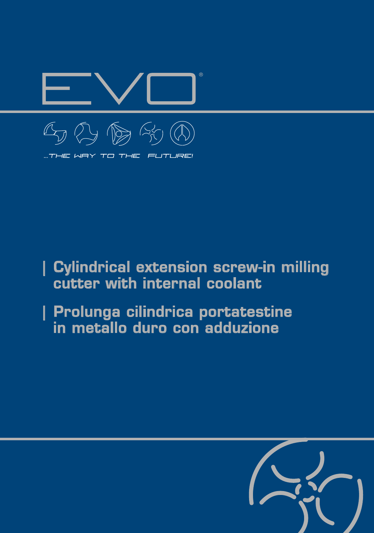

## | Cylindrical extension screw-in milling cutter with internal coolant

## | Prolunga cilindrica portatestine in metallo duro con adduzione